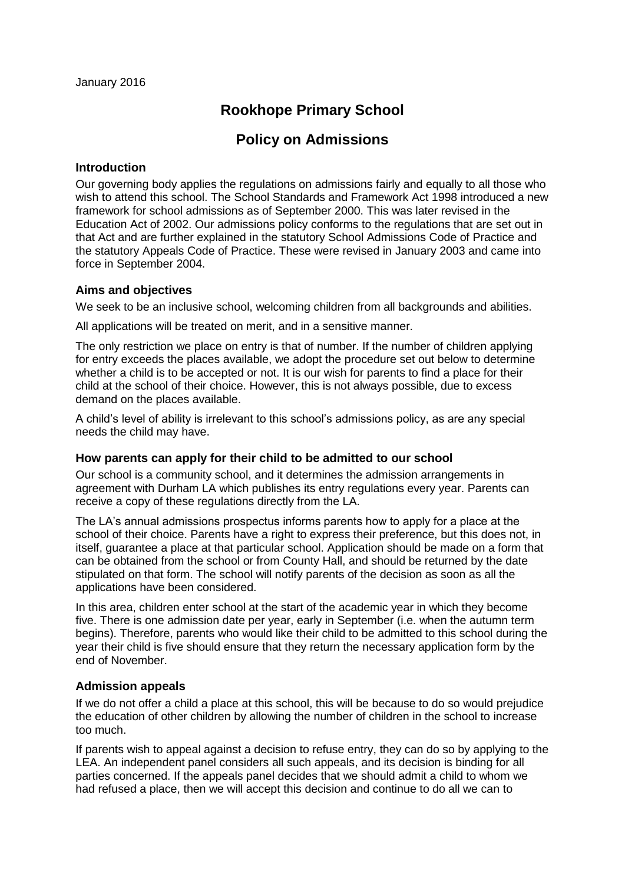# **Rookhope Primary School**

# **Policy on Admissions**

#### **Introduction**

Our governing body applies the regulations on admissions fairly and equally to all those who wish to attend this school. The School Standards and Framework Act 1998 introduced a new framework for school admissions as of September 2000. This was later revised in the Education Act of 2002. Our admissions policy conforms to the regulations that are set out in that Act and are further explained in the statutory School Admissions Code of Practice and the statutory Appeals Code of Practice. These were revised in January 2003 and came into force in September 2004.

## **Aims and objectives**

We seek to be an inclusive school, welcoming children from all backgrounds and abilities.

All applications will be treated on merit, and in a sensitive manner.

The only restriction we place on entry is that of number. If the number of children applying for entry exceeds the places available, we adopt the procedure set out below to determine whether a child is to be accepted or not. It is our wish for parents to find a place for their child at the school of their choice. However, this is not always possible, due to excess demand on the places available.

A child's level of ability is irrelevant to this school's admissions policy, as are any special needs the child may have.

## **How parents can apply for their child to be admitted to our school**

Our school is a community school, and it determines the admission arrangements in agreement with Durham LA which publishes its entry regulations every year. Parents can receive a copy of these regulations directly from the LA.

The LA's annual admissions prospectus informs parents how to apply for a place at the school of their choice. Parents have a right to express their preference, but this does not, in itself, guarantee a place at that particular school. Application should be made on a form that can be obtained from the school or from County Hall, and should be returned by the date stipulated on that form. The school will notify parents of the decision as soon as all the applications have been considered.

In this area, children enter school at the start of the academic year in which they become five. There is one admission date per year, early in September (i.e. when the autumn term begins). Therefore, parents who would like their child to be admitted to this school during the year their child is five should ensure that they return the necessary application form by the end of November.

## **Admission appeals**

If we do not offer a child a place at this school, this will be because to do so would prejudice the education of other children by allowing the number of children in the school to increase too much.

If parents wish to appeal against a decision to refuse entry, they can do so by applying to the LEA. An independent panel considers all such appeals, and its decision is binding for all parties concerned. If the appeals panel decides that we should admit a child to whom we had refused a place, then we will accept this decision and continue to do all we can to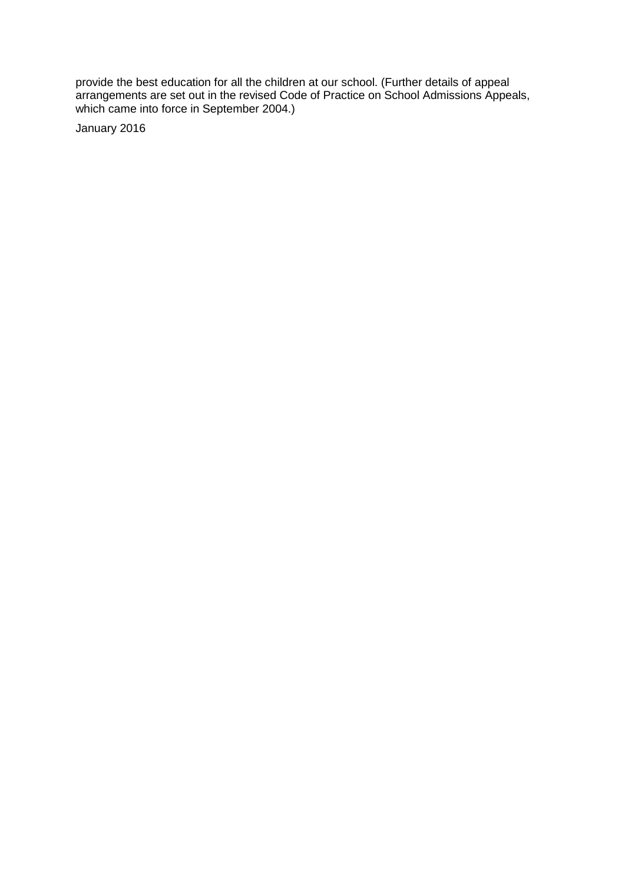provide the best education for all the children at our school. (Further details of appeal arrangements are set out in the revised Code of Practice on School Admissions Appeals, which came into force in September 2004.)

January 2016